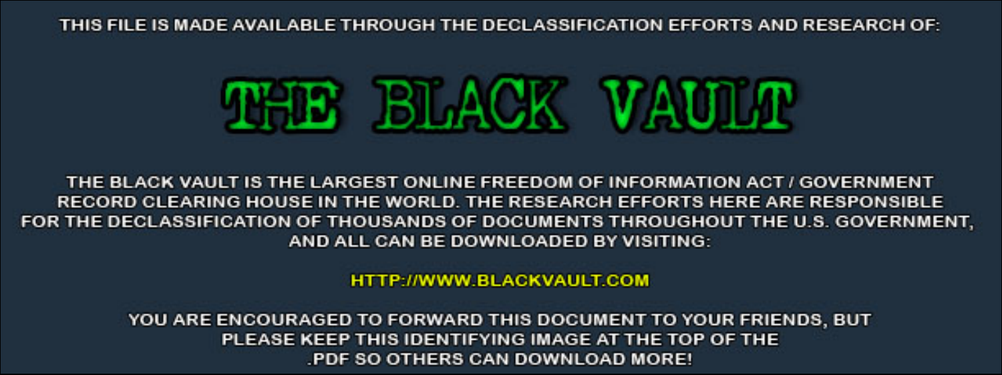THIS FILE IS MADE AVAILABLE THROUGH THE DECLASSIFICATION EFFORTS AND RESEARCH OF:



THE BLACK VAULT IS THE LARGEST ONLINE FREEDOM OF INFORMATION ACT / GOVERNMENT RECORD CLEARING HOUSE IN THE WORLD. THE RESEARCH EFFORTS HERE ARE RESPONSIBLE FOR THE DECLASSIFICATION OF THOUSANDS OF DOCUMENTS THROUGHOUT THE U.S. GOVERNMENT, AND ALL CAN BE DOWNLOADED BY VISITING:

**HTTP://WWW.BLACKVAULT.COM** 

YOU ARE ENCOURAGED TO FORWARD THIS DOCUMENT TO YOUR FRIENDS, BUT PLEASE KEEP THIS IDENTIFYING IMAGE AT THE TOP OF THE PDF SO OTHERS CAN DOWNLOAD MORE!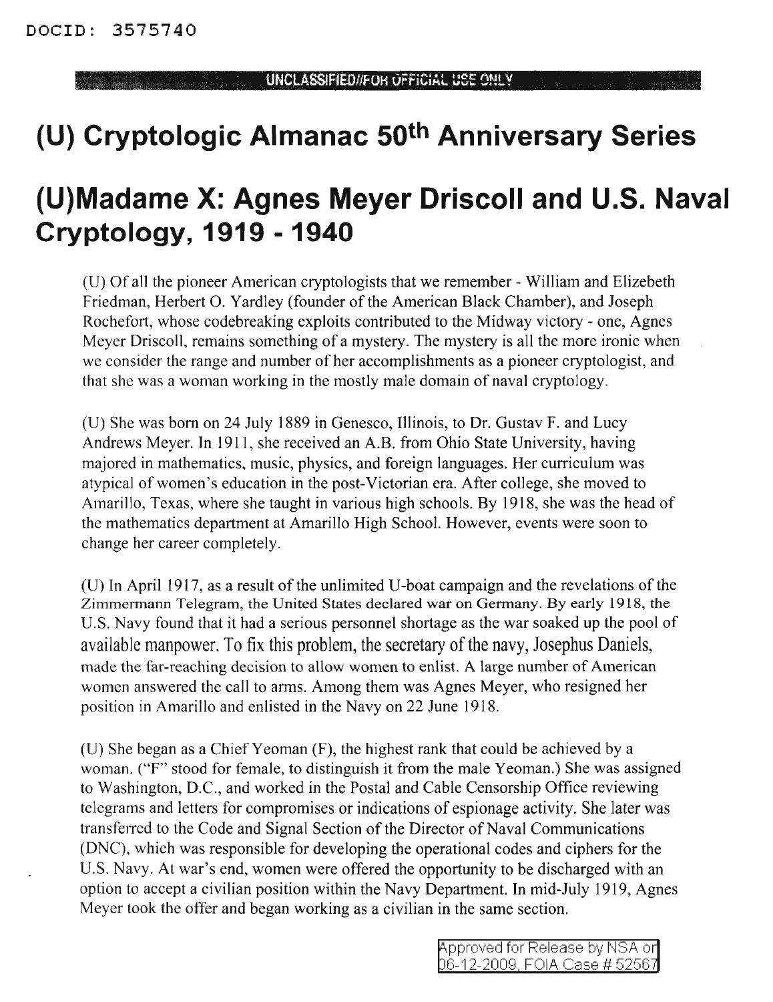# **(U) Cryptologic Almanac 50th Anniversary Series**

## **(U)Madame X: Agnes Meyer Driscoll and U.S. Naval Cryptology, 1919 - 1940**

(U) Of all the pioneer American cryptologists that we remember - William and Elizebeth Friedman, Herbert O. Yardley (founder of the American Black Chamber), and Joseph Rochefort, whose codebreaking exploits contributed to the Midway victory - one, Agnes Meyer Driscol1, remains something of a mystery. The mystery is all the more ironic when we consider the range and number of her accomplishments as a pioneer cryptologist, and that she was a woman working in the mostly male domain of naval cryptology.

(U) She was born on 24 July 1889 in Genesco, Illinois, to Dr. Gustav F. and Lucy Andrews Meyer. In 1911, she received an A.B. from Ohio State University, having majored in mathematics, music, physics, and foreign languages. Her curriculum was atypical of women's education in the post-Victorian era. After college, she moved to Amarillo, Texas, where she taught in various high schools. By 1918, she was the head of the mathematics department at Amarillo High School. However, events were soon to change her career completely.

 $(U)$  In April 1917, as a result of the unlimited U-boat campaign and the revelations of the Zimmermann Telegram, the United States declared war on Germany. By early 1918, the U.S. Navy found that it had a serious personnel shortage as the war soaked up the pool of available manpower. To fix this problem, the secretary of the navy, Josephus Daniels, made the far-reaching decision to allow women to enlist. A large number of American women answered the call to arms. Among them was Agnes Meyer, who resigned her position in Amarillo and enlisted in the Navy on 22 June 1918.

(U) She began as a Chief Yeoman (F), the highest rank that could be achieved by a woman. ("F" stood for female, to distinguish it from the male Yeoman.) She was assigned to Washington, D.C., and worked in the Postal and Cable Censorship Office reviewing telegrams and letters for compromises or indications of espionage activity. She later was transferred to the Code and Signal Section of the Director of Naval Communications (DNC), which was responsible for developing the operational codes and ciphers for the U.S. Navy. At war's end, women were offered the opportunity to be discharged with an option to accept a civilian position within the Navy Department. In mid-July 1919, Agnes Meyer took the offer and began working as a civilian in the same section.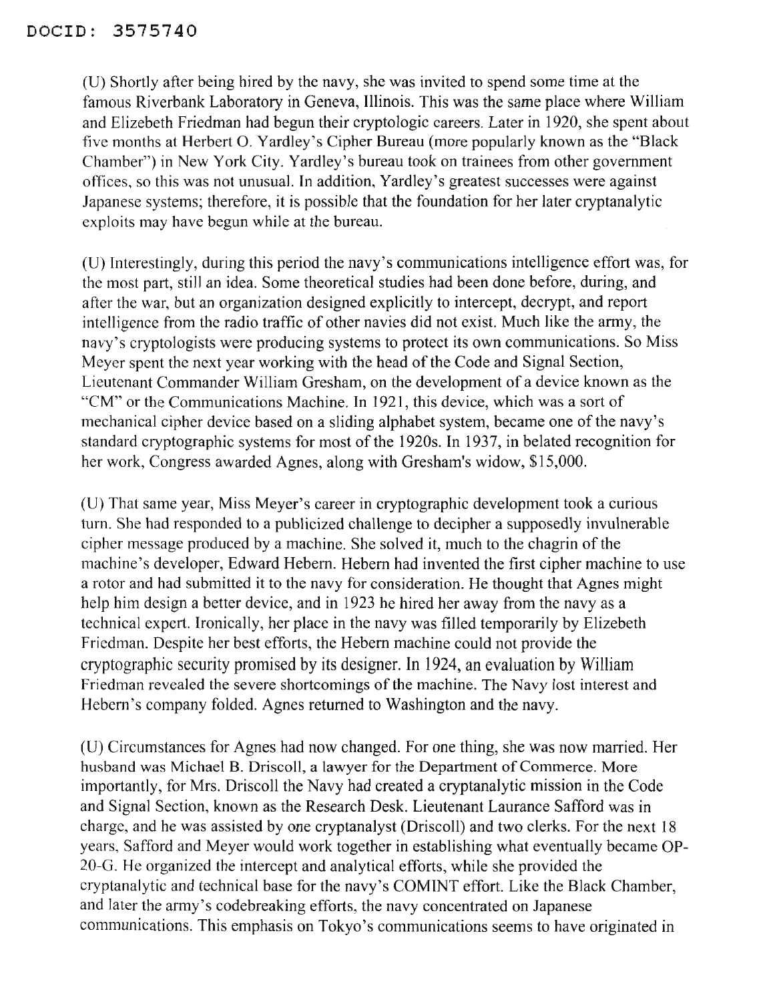(U) Shortly after being hired by the navy, she was invited to spend some time at the famous Riverbank Laboratory in Geneva, Illinois. This was the same place where William and Elizebeth Friedman had begun their cryptologic careers. Later in 1920, she spent about five months at Herbert O. Yardley's Cipher Bureau (more popularly known as the "Black Chamber") in New York City. Yardley's bureau took on trainees from other government offices, so this was not unusual. In addition, Yardley's greatest successes were against Japanese systems; therefore, it is possible that the foundation for her later cryptanalytic exploits may have begun while at the bureau.

(D) Interestingly, during this period the navy's communications intelligence effort was, for the most part, still an idea. Some theoretical studies had been done before, during, and after the war, but an organization designed explicitly to intercept, decrypt, and report intelligence from the radio traffic of other navies did not exist. Much like the army, the navy's cryptologists were producing systems to protect its own communications. So Miss Meyer spent the next year working with the head of the Code and Signal Section, Lieutenant Commander William Gresham, on the development of a device known as the "CM" or the Communications Machine. In 1921, this device, which was a sort of mechanical cipher device based on a sliding alphabet system, became one of the navy's standard cryptographic systems for most of the 1920s. In 1937, in belated recognition for her work, Congress awarded Agnes, along with Gresham's widow, \$15,000.

(D) That same year, Miss Meyer's career in cryptographic development took a curious turn. She had responded to a publicized challenge to decipher a supposedly invulnerable cipher message produced by a machine. She solved it, much to the chagrin of the machine's developer, Edward Hebern. Hebern had invented the first cipher machine to use a rotor and had submitted it to the navy for consideration. He thought that Agnes might help him design a better device, and in 1923 he hired her away from the navy as a technical expert. Ironically, her place in the navy was filled temporarily by Elizebeth Friedman. Despite her best efforts, the Hebern machine could not provide the cryptographic security promised by its designer. In 1924, an evaluation by William Friedman revealed the severe shortcomings of the machine. The Navy lost interest and Hebern's company folded. Agnes returned to Washington and the navy.

(D) Circumstances for Agnes had now changed. For one thing, she was now married. Her husband was Michael B. Driscoll, a lawyer for the Department of Commerce. More importantly, for Mrs. Driscoll the Navy had created a cryptanalytic mission in the Code and Signal Section, known as the Research Desk. Lieutenant Laurance Safford was in charge, and he was assisted by one cryptanalyst (Driscoll) and two clerks. For the next 18 years, Safford and Meyer would work together in establishing what eventually became OP-20-G. He organized the intercept and analytical efforts, while she provided the cryptanalytic and technical base for the navy's COMINT effort. Like the Black Chamber, and later the army's codebreaking efforts, the navy concentrated on Japanese communications. This emphasis on Tokyo's communications seems to have originated in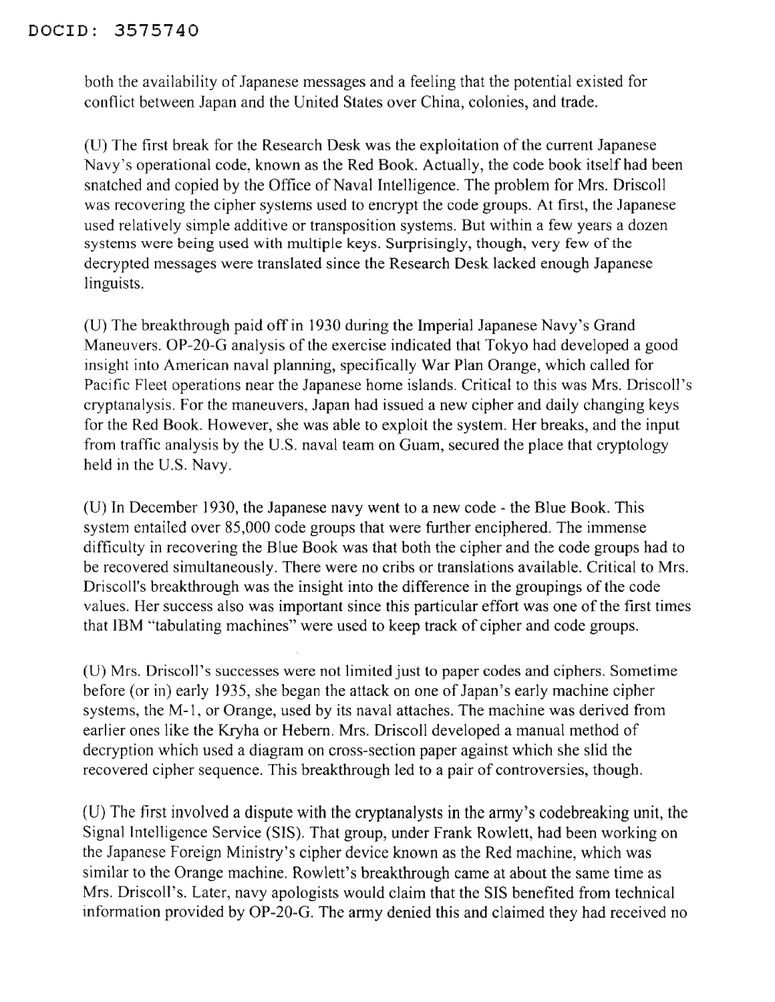#### DOClD: 3575740

both the availability of Japanese messages and a feeling that the potential existed for conflict between Japan and the United States over China, colonies, and trade.

(U) The first break for the Research Desk was the exploitation of the current Japanese Navy's operational code, known as the Red Book. Actually, the code book itself had been snatched and copied by the Office of Naval Intelligence. The problem for Mrs. Driscoll was recovering the cipher systems used to encrypt the code groups. At first, the Japanese used relatively simple additive or transposition systems. But within a few years a dozen systems were being used with multiple keys. Surprisingly, though, very few of the decrypted messages were translated since the Research Desk lacked enough Japanese linguists.

(V) The breakthrough paid offin 1930 during the Imperial Japanese Navy's Grand Maneuvers. OP-20-G analysis of the exercise indicated that Tokyo had developed a good insight into American naval planning, specifically War Plan Orange, which called for Pacific Fleet operations near the Japanese home islands. Critical to this was Mrs. Driscoll's cryptanalysis. For the maneuvers, Japan had issued a new cipher and daily changing keys for the Red Book. However, she was able to exploit the system. Her breaks, and the input from traffic analysis by the V.S. naval team on Guam, secured the place that cryptology held in the U.S. Navy.

(V) In December] 930, the Japanese navy went to a new code - the Blue Book. This system entailed over 85,000 code groups that were further enciphered. The immense difficulty in recovering the Blue Book was that both the cipher and the code groups had to be recovered simultaneously. There were no cribs or translations available. Critical to Mrs. Driscoll's breakthrough was the insight into the difference in the groupings of the code values. Her success also was important since this particular effort was one of the first times that IBM "tabulating machines" were used to keep track of cipher and code groups.

(U) Mrs. Driscoll's successes were not limited just to paper codes and ciphers. Sometime before (or in) early 1935, she began the attack on one of Japan's early machine cipher systems, the M-l, or Orange, used by its naval attaches. The machine was derived from earlier ones like the Kryha or Hebem. Mrs. Driscoll developed a manual method of decryption which used a diagram on cross-section paper against which she slid the recovered cipher sequence. This breakthrough led to a pair of controversies, though.

(U) The first involved a dispute with the cryptanalysts in the army's codebreaking unit, the Signal Intelligence Service (SIS). That group, under Frank Rowlett, had been working on the Japanese Foreign Ministry'S cipher device known as the Red machine, which was similar to the Orange machine. Rowlett's breakthrough came at about the same time as Mrs. Driscoll's. Later, navy apologists would claim that the SIS benefited from technical information provided by OP-20-G. The army denied this and claimed they had received no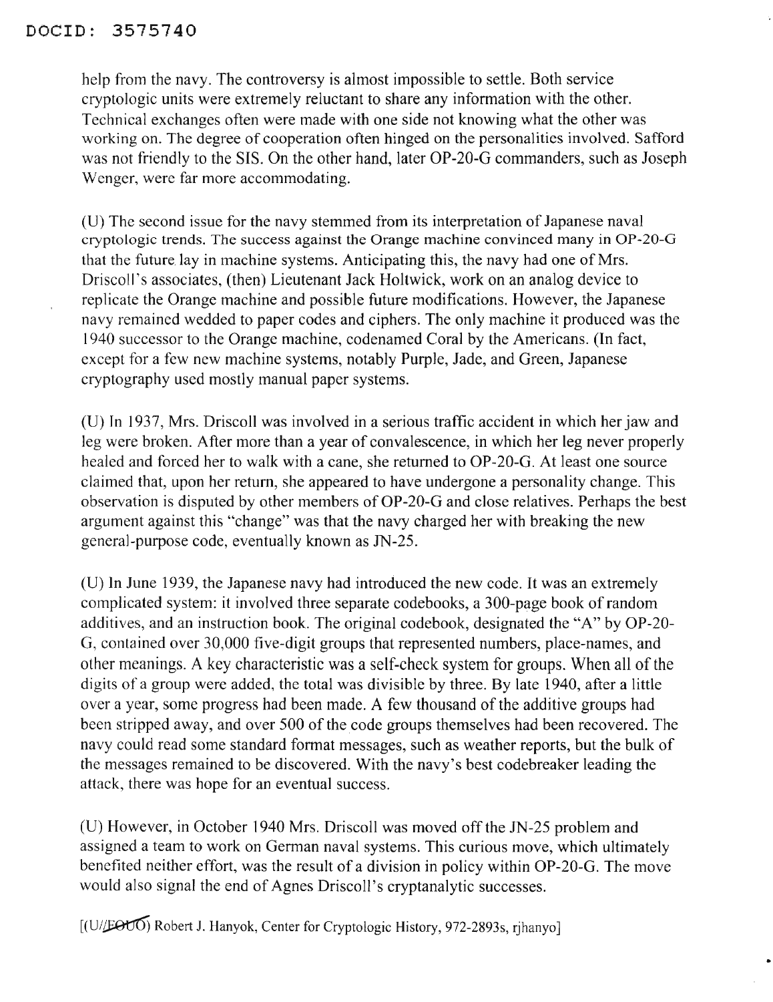#### DOCID: 3575740

help from the navy. The controversy is almost impossible to settle. Both service cryptologic units were extremely reluctant to share any information with the other. Technical exchanges often were made with one side not knowing what the other was working on. The degree of cooperation often hinged on the personalities involved. Safford was not friendly to the SIS. On the other hand, later OP-20-G commanders, such as Joseph Wenger, were far more accommodating.

(U) The second issue for the navy stemmed from its interpretation of Japanese naval cryptologic trends. The success against the Orange machine convinced many in OP-20-G that the future lay in machine systems. Anticipating this, the navy had one of Mrs. Driscoll's associates, (then) Lieutenant Jack Holtwick, work on an analog device to replicate the Orange machine and possible future modifications. However, the Japanese navy remained wedded to paper codes and ciphers. The only machine it produced was the 1940 successor to the Orange machine, codenamed Coral by the Americans. (In fact, except for a few new machine systems, notably Purple, Jade, and Green, Japanese cryptography used mostly manual paper systems.

(U) In 1937, Mrs. Driscoll was involved in a serious traffic accident in which her jaw and leg were broken. After more than a year of convalescence, in which her leg never properly healed and forced her to walk with a cane, she returned to OP-20-G. At least one source claimed that, upon her return, she appeared to have undergone a personality change. This observation is disputed by other members of OP-20-G and close relatives. Perhaps the best argument against this "change" was that the navy charged her with breaking the new general-purpose code, eventually known as IN-25.

(U) In June 1939, the Japanese navy had introduced the new code. It was an extremely complicated system: it involved three separate codebooks, a 300-page book ofrandom additives, and an instruction book. The original codebook, designated the "A" by OP-20- G, contained over 30,000 five-digit groups that represented numbers, place-names, and other meanings. A key characteristic was a self-check system for groups. When all of the digits of a group were added, the total was divisible by three. By late 1940, after a little over a year, some progress had been made. A few thousand of the additive groups had been stripped away, and over 500 of the code groups themselves had been recovered. The navy could read some standard format messages, such as weather reports, but the bulk of the messages remained to be discovered. With the navy's best codebreaker leading the attack, there was hope for an eventual success.

(U) However, in October 1940 Mrs. Driscoll was moved off the IN-25 problem and assigned a team to work on German naval systems. This curious move, which ultimately benefited neither effort, was the result of a division in policy within OP-20-G. The move would also signal the end of Agnes Driscoll's cryptanalytic successes.

 $[(U/\text{E}\Theta U\overline{O})$  Robert J. Hanyok, Center for Cryptologic History, 972-2893s, rihanyo]